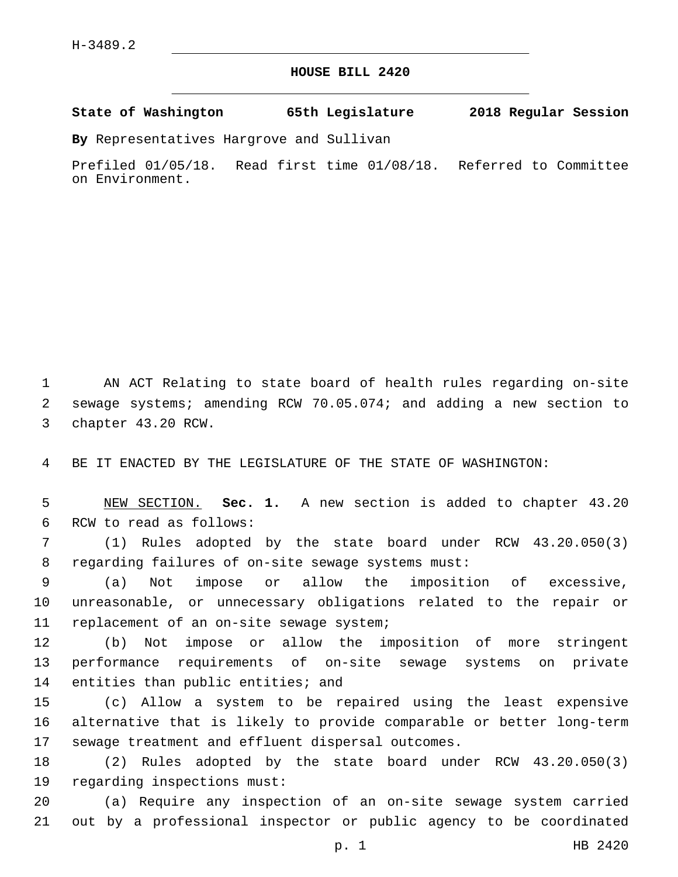## **HOUSE BILL 2420**

**State of Washington 65th Legislature 2018 Regular Session**

**By** Representatives Hargrove and Sullivan

Prefiled 01/05/18. Read first time 01/08/18. Referred to Committee on Environment.

1 AN ACT Relating to state board of health rules regarding on-site 2 sewage systems; amending RCW 70.05.074; and adding a new section to 3 chapter 43.20 RCW.

4 BE IT ENACTED BY THE LEGISLATURE OF THE STATE OF WASHINGTON:

5 NEW SECTION. **Sec. 1.** A new section is added to chapter 43.20 6 RCW to read as follows:

7 (1) Rules adopted by the state board under RCW 43.20.050(3) 8 regarding failures of on-site sewage systems must:

9 (a) Not impose or allow the imposition of excessive, 10 unreasonable, or unnecessary obligations related to the repair or 11 replacement of an on-site sewage system;

12 (b) Not impose or allow the imposition of more stringent 13 performance requirements of on-site sewage systems on private 14 entities than public entities; and

15 (c) Allow a system to be repaired using the least expensive 16 alternative that is likely to provide comparable or better long-term 17 sewage treatment and effluent dispersal outcomes.

18 (2) Rules adopted by the state board under RCW 43.20.050(3) 19 regarding inspections must:

20 (a) Require any inspection of an on-site sewage system carried 21 out by a professional inspector or public agency to be coordinated

p. 1 HB 2420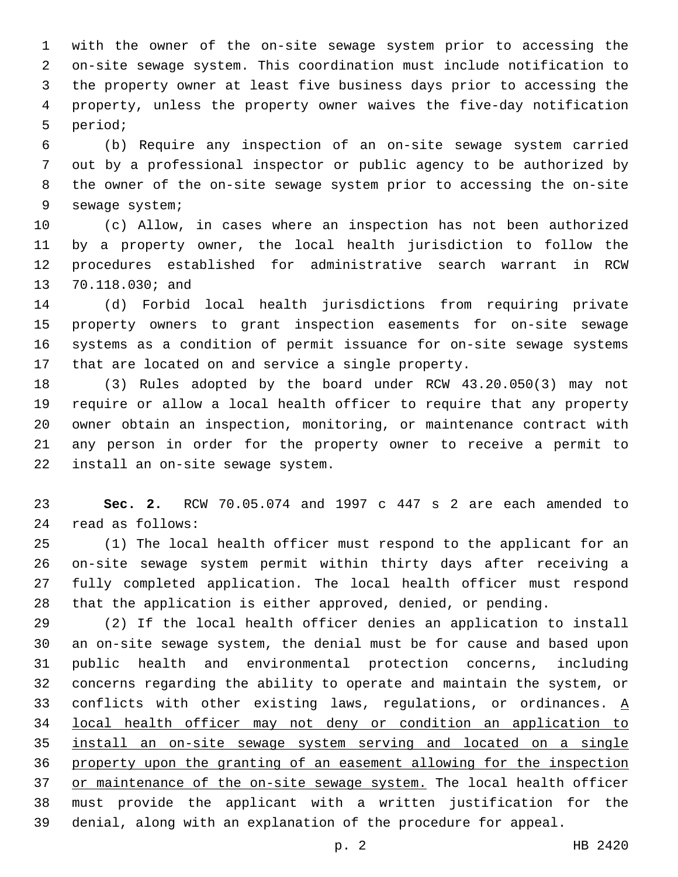with the owner of the on-site sewage system prior to accessing the on-site sewage system. This coordination must include notification to the property owner at least five business days prior to accessing the property, unless the property owner waives the five-day notification 5 period;

 (b) Require any inspection of an on-site sewage system carried out by a professional inspector or public agency to be authorized by the owner of the on-site sewage system prior to accessing the on-site 9 sewage system;

 (c) Allow, in cases where an inspection has not been authorized by a property owner, the local health jurisdiction to follow the procedures established for administrative search warrant in RCW 13 70.118.030; and

 (d) Forbid local health jurisdictions from requiring private property owners to grant inspection easements for on-site sewage systems as a condition of permit issuance for on-site sewage systems that are located on and service a single property.

 (3) Rules adopted by the board under RCW 43.20.050(3) may not require or allow a local health officer to require that any property owner obtain an inspection, monitoring, or maintenance contract with any person in order for the property owner to receive a permit to 22 install an on-site sewage system.

 **Sec. 2.** RCW 70.05.074 and 1997 c 447 s 2 are each amended to read as follows:24

 (1) The local health officer must respond to the applicant for an on-site sewage system permit within thirty days after receiving a fully completed application. The local health officer must respond that the application is either approved, denied, or pending.

 (2) If the local health officer denies an application to install an on-site sewage system, the denial must be for cause and based upon public health and environmental protection concerns, including concerns regarding the ability to operate and maintain the system, or 33 conflicts with other existing laws, regulations, or ordinances.  $\underline{A}$  local health officer may not deny or condition an application to install an on-site sewage system serving and located on a single property upon the granting of an easement allowing for the inspection 37 or maintenance of the on-site sewage system. The local health officer must provide the applicant with a written justification for the denial, along with an explanation of the procedure for appeal.